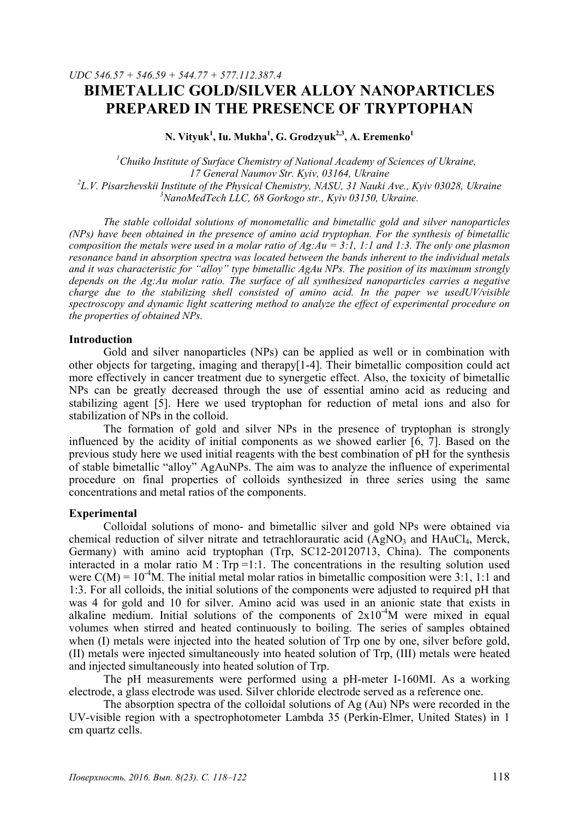# *UDC 546.57 + 546.59 + 544.77 + 577.112.387.4*  **BIMETALLIC GOLD/SILVER ALLOY NANOPARTICLES PREPARED IN THE PRESENCE OF TRYPTOPHAN**

**N. Vityuk<sup>1</sup> , Iu. Mukha<sup>1</sup> , G. Grodzyuk2,3, A. Eremenko1**

<sup>1</sup> Chuiko Institute of Surface Chemistry of National Academy of Sciences of Ukraine, *17 General Naumov Str. Kyiv, 03164, Ukraine 2 L.V. Pisarzhevskii Institute of the Physical Chemistry, NASU, 31 Nauki Ave., Kyiv 03028, Ukraine 3 NanoMedTeсh LLC, 68 Gorkogo str., Kyiv 03150, Ukraine.* 

*The stable colloidal solutions of monometallic and bimetallic gold and silver nanoparticles (NPs) have been obtained in the presence of amino acid tryptophan. For the synthesis of bimetallic composition the metals were used in a molar ratio of Ag:Au = 3:1, 1:1 and 1:3. The only one plasmon resonance band in absorption spectra was located between the bands inherent to the individual metals and it was characteristic for "alloy" type bimetallic AgAu NPs. The position of its maximum strongly depends on the Ag:Au molar ratio. The surface of all synthesized nanoparticles carries a negative charge due to the stabilizing shell consisted of amino acid. In the paper we usedUV/visible spectroscopy and dynamic light scattering method to analyze the effect of experimental procedure on the properties of obtained NPs.* 

## **Introduction**

Gold and silver nanoparticles (NPs) can be applied as well or in combination with other objects for targeting, imaging and therapy[1-4]. Their bimetallic composition could act more effectively in cancer treatment due to synergetic effect. Also, the toxicity of bimetallic NPs can be greatly decreased through the use of essential amino acid as reducing and stabilizing agent [5]. Here we used tryptophan for reduction of metal ions and also for stabilization of NPs in the colloid.

The formation of gold and silver NPs in the presence of tryptophan is strongly influenced by the acidity of initial components as we showed earlier [6, 7]. Based on the previous study here we used initial reagents with the best combination of pH for the synthesis of stable bimetallic "alloy" AgAuNPs. The aim was to analyze the influence of experimental procedure on final properties of colloids synthesized in three series using the same concentrations and metal ratios of the components.

#### **Experimental**

Colloidal solutions of mono- and bimetallic silver and gold NPs were obtained via chemical reduction of silver nitrate and tetrachlorauratic acid  $(AgNO<sub>3</sub>$  and  $HAuCl<sub>4</sub>$ , Merck, Germany) with amino acid tryptophan (Trp, SC12-20120713, China). The components interacted in a molar ratio  $M$ : Trp =1:1. The concentrations in the resulting solution used were  $C(M) = 10^{-4}M$ . The initial metal molar ratios in bimetallic composition were 3:1, 1:1 and 1:3. For all colloids, the initial solutions of the components were adjusted to required pH that was 4 for gold and 10 for silver. Amino acid was used in an anionic state that exists in alkaline medium. Initial solutions of the components of  $2x10^{-4}$ M were mixed in equal volumes when stirred and heated continuously to boiling. The series of samples obtained when (I) metals were injected into the heated solution of Trp one by one, silver before gold, (II) metals were injected simultaneously into heated solution of Trp, (III) metals were heated and injected simultaneously into heated solution of Trp.

The pH measurements were performed using a pH-meter I-160MI. As a working electrode, a glass electrode was used. Silver chloride electrode served as a reference one.

The absorption spectra of the colloidal solutions of Ag (Au) NPs were recorded in the UV-visible region with a spectrophotometer Lambda 35 (Perkin-Elmer, United States) in 1 cm quartz cells.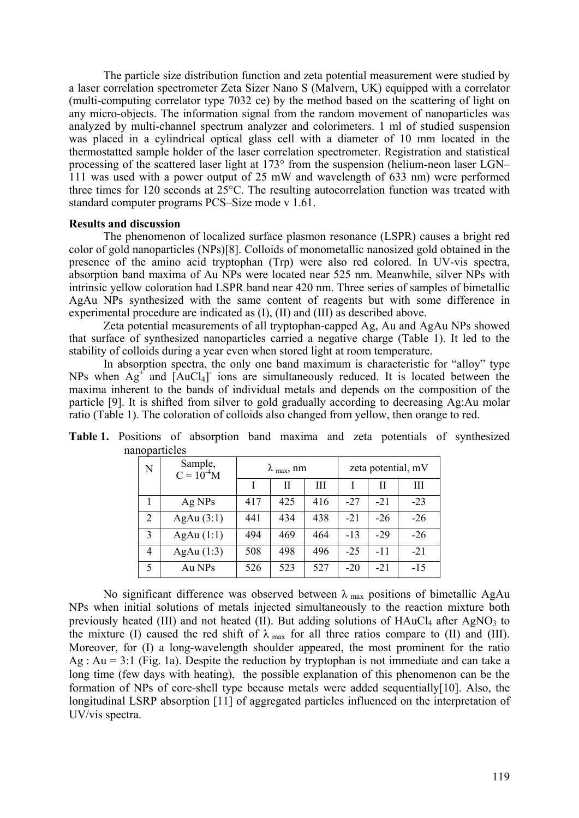The particle size distribution function and zeta potential measurement were studied by a laser correlation spectrometer Zeta Sizer Nano S (Malvern, UK) equipped with a correlator (multi-computing correlator type 7032 ce) by the method based on the scattering of light on any micro-objects. The information signal from the random movement of nanoparticles was analyzed by multi-channel spectrum analyzer and colorimeters. 1 ml of studied suspension was placed in a cylindrical optical glass cell with a diameter of 10 mm located in the thermostatted sample holder of the laser correlation spectrometer. Registration and statistical processing of the scattered laser light at 173° from the suspension (helium-neon laser LGN– 111 was used with a power output of 25 mW and wavelength of 633 nm) were performed three times for 120 seconds at 25°C. The resulting autocorrelation function was treated with standard computer programs PCS–Size mode v 1.61.

#### **Results and discussion**

The phenomenon of localized surface plasmon resonance (LSPR) causes a bright red color of gold nanoparticles (NPs)[8]. Colloids of monometallic nanosized gold obtained in the presence of the amino acid tryptophan (Trp) were also red colored. In UV-vis spectra, absorption band maxima of Au NPs were located near 525 nm. Meanwhile, silver NPs with intrinsic yellow coloration had LSPR band near 420 nm. Three series of samples of bimetallic AgAu NPs synthesized with the same content of reagents but with some difference in experimental procedure are indicated as (I), (II) and (III) as described above.

Zeta potential measurements of all tryptophan-capped Ag, Au and AgAu NPs showed that surface of synthesized nanoparticles carried a negative charge (Table 1). It led to the stability of colloids during a year even when stored light at room temperature.

In absorption spectra, the only one band maximum is characteristic for "alloy" type NPs when  $Ag^+$  and  $[AuCl_4]$  ions are simultaneously reduced. It is located between the maxima inherent to the bands of individual metals and depends on the composition of the particle [9]. It is shifted from silver to gold gradually according to decreasing Ag:Au molar ratio (Table 1). The coloration of colloids also changed from yellow, then orange to red.

| N | Sample,<br>$C = 10^{-4}M$ | $\lambda$ <sub>max</sub> , nm |     |     | zeta potential, mV |       |       |
|---|---------------------------|-------------------------------|-----|-----|--------------------|-------|-------|
|   |                           |                               | Н   | Ш   |                    | Н     | Ш     |
|   | Ag NPs                    | 417                           | 425 | 416 | $-27$              | $-21$ | $-23$ |
| 2 | AgAu $(3:1)$              | 441                           | 434 | 438 | $-21$              | $-26$ | $-26$ |
| 3 | AgAu(1:1)                 | 494                           | 469 | 464 | $-13$              | $-29$ | $-26$ |
| 4 | AgAu $(1:3)$              | 508                           | 498 | 496 | $-25$              | -11   | $-21$ |
| 5 | Au NPs                    | 526                           | 523 | 527 | $-20$              | $-21$ | $-15$ |

**Table 1.** Positions of absorption band maxima and zeta potentials of synthesized nanoparticles

No significant difference was observed between  $\lambda_{\text{max}}$  positions of bimetallic AgAu NPs when initial solutions of metals injected simultaneously to the reaction mixture both previously heated (III) and not heated (II). But adding solutions of  $HAuCl<sub>4</sub>$  after AgNO<sub>3</sub> to the mixture (I) caused the red shift of  $\lambda_{\text{max}}$  for all three ratios compare to (II) and (III). Moreover, for (I) a long-wavelength shoulder appeared, the most prominent for the ratio Ag : Au = 3:1 (Fig. 1a). Despite the reduction by tryptophan is not immediate and can take a long time (few days with heating), the possible explanation of this phenomenon can be the formation of NPs of core-shell type because metals were added sequentially[10]. Also, the longitudinal LSRP absorption [11] of aggregated particles influenced on the interpretation of UV/vis spectra.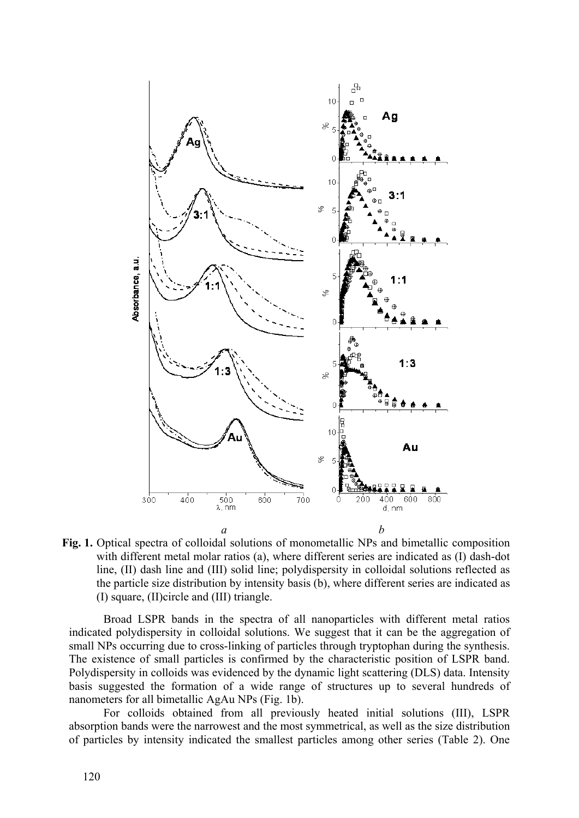

**Fig. 1.** Optical spectra of colloidal solutions of monometallic NPs and bimetallic composition with different metal molar ratios (a), where different series are indicated as (I) dash-dot line, (II) dash line and (III) solid line; polydispersity in colloidal solutions reflected as the particle size distribution by intensity basis (b), where different series are indicated as (I) square, (II)circle and (III) triangle.

Broad LSPR bands in the spectra of all nanoparticles with different metal ratios indicated polydispersity in colloidal solutions. We suggest that it can be the aggregation of small NPs occurring due to cross-linking of particles through tryptophan during the synthesis. The existence of small particles is confirmed by the characteristic position of LSPR band. Polydispersity in colloids was evidenced by the dynamic light scattering (DLS) data. Intensity basis suggested the formation of a wide range of structures up to several hundreds of nanometers for all bimetallic AgAu NPs (Fig. 1b).

For colloids obtained from all previously heated initial solutions (III), LSPR absorption bands were the narrowest and the most symmetrical, as well as the size distribution of particles by intensity indicated the smallest particles among other series (Table 2). One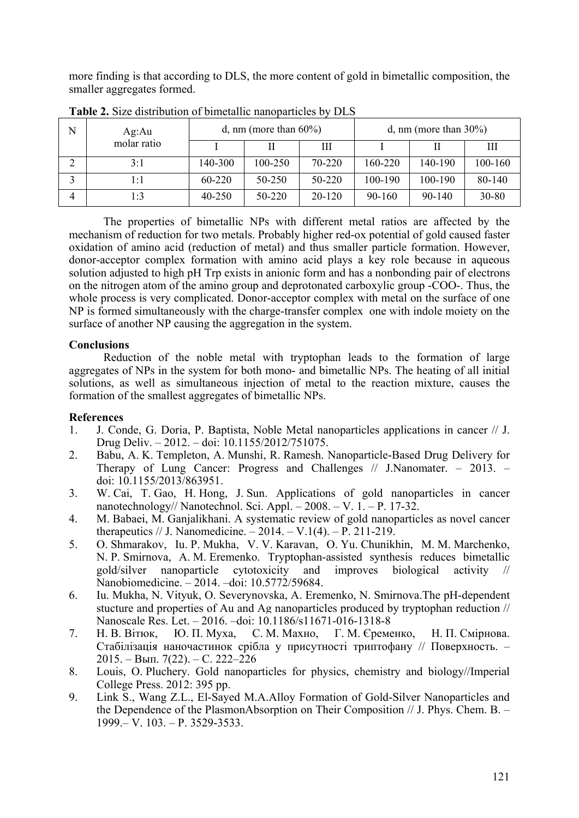more finding is that according to DLS, the more content of gold in bimetallic composition, the smaller aggregates formed.

| N | Ag:Au       |            | d, nm (more than $60\%$ ) |            | d, nm (more than $30\%$ ) |            |         |  |
|---|-------------|------------|---------------------------|------------|---------------------------|------------|---------|--|
|   | molar ratio |            |                           | Ш          |                           |            | Ш       |  |
|   | 3:1         | 140-300    | 100-250                   | 70-220     | 160-220                   | 140-190    | 100-160 |  |
|   | l : 1       | $60 - 220$ | 50-250                    | 50-220     | 100-190                   | 100-190    | 80-140  |  |
|   | 1:3         | 40-250     | 50-220                    | $20 - 120$ | $90 - 160$                | $90 - 140$ | 30-80   |  |

**Table 2.** Size distribution of bimetallic nanoparticles by DLS

The properties of bimetallic NPs with different metal ratios are affected by the mechanism of reduction for two metals. Probably higher red-ox potential of gold caused faster oxidation of amino acid (reduction of metal) and thus smaller particle formation. However, donor-acceptor complex formation with amino acid plays a key role because in aqueous solution adjusted to high pH Trp exists in anionic form and has a nonbonding pair of electrons on the nitrogen atom of the amino group and deprotonated carboxylic group -COO-. Thus, the whole process is very complicated. Donor-acceptor complex with metal on the surface of one NP is formed simultaneously with the charge-transfer complex one with indole moiety on the surface of another NP causing the aggregation in the system.

# **Conclusions**

Reduction of the noble metal with tryptophan leads to the formation of large aggregates of NPs in the system for both mono- and bimetallic NPs. The heating of all initial solutions, as well as simultaneous injection of metal to the reaction mixture, causes the formation of the smallest aggregates of bimetallic NPs.

# **References**

- 1. J. Conde, G. Doria, P. Baptista, Noble Metal nanoparticles applications in cancer // J. Drug Deliv. – 2012. – doi: 10.1155/2012/751075.
- 2. Babu, A. K. Templeton, A. Munshi, R. Ramesh. Nanoparticle-Based Drug Delivery for Therapy of Lung Cancer: Progress and Challenges // J.Nanomater. – 2013. – doi: 10.1155/2013/863951.
- 3. W. Cai, T. Gao, H. Hong, J. Sun. Applications of gold nanoparticles in cancer nanotechnology// Nanotechnol. Sci. Appl. – 2008. – V. 1. – P. 17-32.
- 4. M. Babaei, M. Ganjalikhani. A systematic review of gold nanoparticles as novel cancer therapeutics // J. Nanomedicine.  $-2014. -V.1(4)$ .  $-P. 211-219$ .
- 5. O. Shmarakov, Iu. P. Mukha, V. V. Karavan, O. Yu. Chunikhin, M. M. Marchenko, N. P. Smirnova, A. M. Eremenko. Tryptophan-assisted synthesis reduces bimetallic gold/silver nanoparticle cytotoxicity and improves biological activity // Nanobiomedicine. – 2014. –doi: 10.5772/59684.
- 6. Iu. Mukha, N. Vityuk, O. Severynovska, A. Eremenko, N. Smirnova.The pH-dependent stucture and properties of Au and Ag nanoparticles produced by tryptophan reduction // Nanoscale Res. Let. – 2016. –doi: 10.1186/s11671-016-1318-8
- 7. Н. В. Вітюк, Ю. П. Муха, С. М. Махно, Г. М. Єременко, Н. П. Смірнова. Стабілізація наночастинок срібла у присутності триптофану // Поверхность. – 2015. – Вып. 7(22). – С. 222–226
- 8. Louis, O. Pluchery. Gold nanoparticles for physics, chemistry and biology//Imperial College Press. 2012: 395 pp.
- 9. Link S., Wang Z.L., El-Sayed M.A.Alloy Formation of Gold-Silver Nanoparticles and the Dependence of the PlasmonAbsorption on Their Composition // J. Phys. Chem. B. – 1999.– V. 103. – P. 3529-3533.